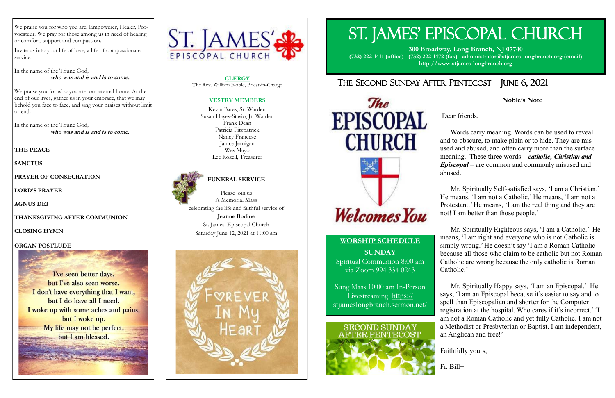# ST. JAMES' EPISCOPAL CHURCH

**300 Broadway, Long Branch, NJ 07740 (732) 222-1411 (office) (732) 222-1472 (fax) administrator@stjames-longbranch.org (email) http://www.stjames-longbranch.org**

# THE SECOND SUNDAY AFTER PENTECOST JUNE 6, 2021

The **EPISCOPAL CHURCH** 

We praise you for who you are, Empowerer, Healer, Provocateur. We pray for those among us in need of healing or comfort, support and compassion.

Invite us into your life of love; a life of compassionate service.

In the name of the Triune God, **who was and is and is to come.**

We praise you for who you are: our eternal home. At the end of our lives, gather us in your embrace, that we may behold you face to face, and sing your praises without limit or end.

In the name of the Triune God, **who was and is and is to come.**

#### **THE PEACE**

**SANCTUS** 

**PRAYER OF CONSECRATION** 

**LORD'S PRAYER** 

**AGNUS DEI** 

**THANKSGIVING AFTER COMMUNION** 

**CLOSING HYMN** 

#### **ORGAN POSTLUDE**

I've seen better days, but I've also seen worse. I don't have everything that I want. but I do have all I need. I woke up with some aches and pains, but I woke up. My life may not be perfect, but I am blessed.



## **WORSHIP SCHEDULE SUNDAY**

**Welcomes** You

Spiritual Communion 8:00 am via Zoom 994 334 0243

Sung Mass 10:00 am In-Person Livestreaming [https://](https://stjameslongbranch.sermon.net/main/main/21713221) [stjameslongbranch.sermon.net/](https://stjameslongbranch.sermon.net/main/main/21713221)



### **Noble's Note**

Dear friends,

 Words carry meaning. Words can be used to reveal and to obscure, to make plain or to hide. They are misused and abused, and often carry more than the surface meaning. These three words – *catholic, Christian and Episcopal* – are common and commonly misused and abused.

 Mr. Spiritually Self-satisfied says, 'I am a Christian.' He means, 'I am not a Catholic.' He means, 'I am not a Protestant.' He means, 'I am the real thing and they are not! I am better than those people.'

 Mr. Spiritually Righteous says, 'I am a Catholic.' He means, 'I am right and everyone who is not Catholic is simply wrong.' He doesn't say 'I am a Roman Catholic because all those who claim to be catholic but not Roman Catholic are wrong because the only catholic is Roman Catholic.'

 Mr. Spiritually Happy says, 'I am an Episcopal.' He says, 'I am an Episcopal because it's easier to say and to spell than Episcopalian and shorter for the Computer registration at the hospital. Who cares if it's incorrect.' 'I am not a Roman Catholic and yet fully Catholic. I am not a Methodist or Presbyterian or Baptist. I am independent, an Anglican and free!'

Faithfully yours,

Fr. Bill+

**CLERGY** The Rev. William Noble, Priest-in-Charge

#### **VESTRY MEMBERS**

Kevin Bates, Sr. Warden Susan Hayes-Stasio, Jr. Warden Frank Dean Patricia Fitzpatrick Nancy Francese Janice Jernigan Wes Mayo Lee Rozell, Treasurer



#### **FUNERAL SERVICE**

Please join us A Memorial Mass celebrating the life and faithful service of **Jeanne Bodine** St. James' Episcopal Church Saturday June 12, 2021 at 11:00 am